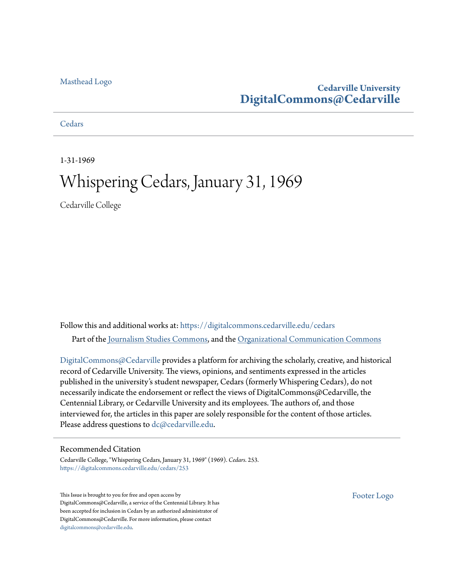#### [Masthead Logo](http://www.cedarville.edu/?utm_source=digitalcommons.cedarville.edu%2Fcedars%2F253&utm_medium=PDF&utm_campaign=PDFCoverPages)

#### **Cedarville University [DigitalCommons@Cedarville](https://digitalcommons.cedarville.edu?utm_source=digitalcommons.cedarville.edu%2Fcedars%2F253&utm_medium=PDF&utm_campaign=PDFCoverPages)**

**[Cedars](https://digitalcommons.cedarville.edu/cedars?utm_source=digitalcommons.cedarville.edu%2Fcedars%2F253&utm_medium=PDF&utm_campaign=PDFCoverPages)** 

1-31-1969

### Whispering Cedars, January 31, 1969

Cedarville College

Follow this and additional works at: [https://digitalcommons.cedarville.edu/cedars](https://digitalcommons.cedarville.edu/cedars?utm_source=digitalcommons.cedarville.edu%2Fcedars%2F253&utm_medium=PDF&utm_campaign=PDFCoverPages) Part of the [Journalism Studies Commons](http://network.bepress.com/hgg/discipline/333?utm_source=digitalcommons.cedarville.edu%2Fcedars%2F253&utm_medium=PDF&utm_campaign=PDFCoverPages), and the [Organizational Communication Commons](http://network.bepress.com/hgg/discipline/335?utm_source=digitalcommons.cedarville.edu%2Fcedars%2F253&utm_medium=PDF&utm_campaign=PDFCoverPages)

[DigitalCommons@Cedarville](http://digitalcommons.cedarville.edu/) provides a platform for archiving the scholarly, creative, and historical record of Cedarville University. The views, opinions, and sentiments expressed in the articles published in the university's student newspaper, Cedars (formerly Whispering Cedars), do not necessarily indicate the endorsement or reflect the views of DigitalCommons@Cedarville, the Centennial Library, or Cedarville University and its employees. The authors of, and those interviewed for, the articles in this paper are solely responsible for the content of those articles. Please address questions to [dc@cedarville.edu.](mailto:dc@cedarville.edu)

#### Recommended Citation

Cedarville College, "Whispering Cedars, January 31, 1969" (1969). *Cedars*. 253. [https://digitalcommons.cedarville.edu/cedars/253](https://digitalcommons.cedarville.edu/cedars/253?utm_source=digitalcommons.cedarville.edu%2Fcedars%2F253&utm_medium=PDF&utm_campaign=PDFCoverPages)

This Issue is brought to you for free and open access by DigitalCommons@Cedarville, a service of the Centennial Library. It has been accepted for inclusion in Cedars by an authorized administrator of DigitalCommons@Cedarville. For more information, please contact [digitalcommons@cedarville.edu](mailto:digitalcommons@cedarville.edu).

[Footer Logo](http://www.cedarville.edu/Academics/Library.aspx?utm_source=digitalcommons.cedarville.edu%2Fcedars%2F253&utm_medium=PDF&utm_campaign=PDFCoverPages)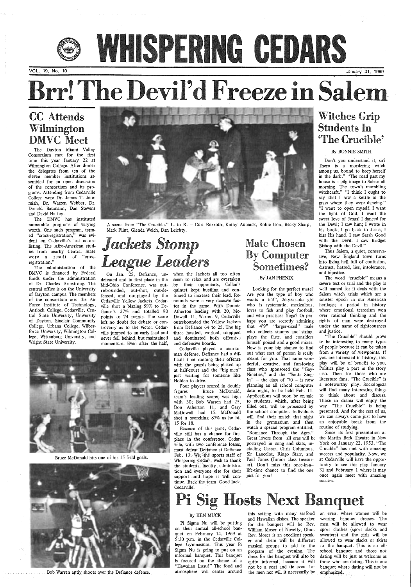### CC Attends Wilmington DMVC Meet

The Dayton Miami Valley Consortium met for the first time this year January 22 at Wilmington College. After dinner the delegates from ten of the eleven member institutions assembled for an open discussion of the consortium and its programs. Attending from Cedarville College were Dr. James T. Jeremiah, Dr. Warren Webber, Dr. Donald Baumann, Dan Stevens and David Haffey.

The DMVC has instituted numerable programs of varying worth. One such program, termed "cross-registration," was evident on Cedarville's last course listing. The Afro-American studies from nearby Central State were a result of "crossregistration."

## Jackets Stomp *League Leaders*

The administration of the DMVC is financed by Federal funds under the administration of Dr. Charles Armstrong. The central office is on the University of Dayton campus. The members of the consortium are: the Air Force Institute of Technology, Antioch College, Cedarville, Central State University, University of Dayton, Sinclair Community College, Urbana College, Wilberforce University, Wilmington College, Wittenberg University, and Wright State University.



A scene from "The Crucible." L. to R. - Curt Rexroth, Kathy Aumack, Robie Ison, Becky Sharp, Mark Flint, Glenda Welch, Dan Leichty.

defeated and in first place in the Mid-Ohio Conference, was outre bounded, out-shot, out-defensed, and out-played by the Cedarville Yellow Jackets. Cedarville shot a blazing 59% to Defiance's 37% and totalled 90 points to 74 points. The score left no doubt for debate or controversy as to the victor. Cedarville jumped to an early lead and never fell behind, but maintained momentum. Even after the half,

On Jan. 25, Defiance, un-when the Jackets all too often seem to relax and are overtaken by their opponents, Callan's quintet kept hustling and continued to increase their lead. Rebounds were a very decisive factor in the game. With Donnie Atherton leading with 20, Mc-Dowell 11, Warren 9, Cedarville outrebounded the Yellow Jackets from Defiance 64 to 25. The big •three hustled, worked, scrapped and dominated both offensive and defensive boards.

Looking for the perfect mate?<br>Are you the type of boy who wants a  $6'3''$ , 26-year-old girl who is systematic, meticulous, loves to fish and play football, and who practices Yoga? Or perhaps you are secretly admiring<br>that 4'9" "larger-sized" male<br>who collects stamps and string,<br>plays the flute, and considers<br>himself poised and a good mixer.<br>Now is your big chance to find<br>out what sort of person is really<br> derful, creative, and fun-loving class who sponsored the "Gay- Nineties," and the "Santa Sing- In" - the class of  $70 -$  is now planning an all school computer date night, to be held Feb. 11.<br>Applications will soon be on sale<br>to students, which, after being<br>filled out, will be processed by<br>the school computer. Individuals will find their match that night<br>in the gymnasium and then<br>watch a special program entitled,<br>"Romance Through the Ages."<br>Great lovers from all eras will be<br>portrayed in song and skits, including Caesar, Chris Columbus, Sir Lancelot, Ringo Starr, and Paul Jones (Junior class treasur er). Don't miss this once-in-a life-time chance to find the one just for you!

## WHSPERING CEDARS January 31, 1969

VOL. 19, No. 10

# Brr! The Devil'd Freeze in Salem

Cedarville played a man-toman defense. Defiance had a difficult time running their offense with the guards being picked up at half-court and the "big men" just waiting for someone like Holden to drive.

Four players scored in double figures - Bruce McDonald, team's leading scorer, was high with 30; Bob Warren had 25, Don Atherton 11, and Gary McDowell had 15. McDonald shot a scorching 83% as he hit 15 for 18.

### Mate Chosen By Computer Sometimes?

#### By JAN PHENiX

Bruce McDonald hits one of his 15 field goals.



Bob. Warren aptly shoots over the Defiance defense.

Because of this game, Cedarville still has a chance for first place in the conference. Cedarville, with two conference losses, must defeat \_Defiance at Defiance Feb. 13. We, the sports staff of Whispering Cedars, wish to thank the students, faculty, administration and everyone else for their support and hope it will con tinue. Back the team. Good luck, Cedarville.

> an event where women will be wearing banquet dresses. The men will be allowed to wear sport clothes (sport slacks and sweaters) and the girls will be allowed to wear slacks or skirts to the banquet. This is an allschool banquet and those not dating will be just as welcome as those who are dating. This is one banquet where dating will not be emphasized.

### Witches Grip Students In 'The Crucible'

#### By BONNIE SMITH

Don't you understand it, sir? There is a murdering witch among us, bound to keep herself in the dark." "The road past my house is a pilgrimage to Salem all morning. The town's mumbling witchcraft." "I think I ought to say that I saw a kettle *in* the grass where they were dancing." "I want to open myself. I want the light of God, I want the sweet love of Jesus! I danced for the Devil; I saw him; I wrote in his book; I go back to Jesus; I kiss His hand. I saw Sarah Good with the Devil. I saw Bridget Bishop with the Devil."

Thus Salem, a quiet, conservative, New England town turns into living hell full of confusion, distrust, hatred, lies, intolerance, and injustice.

The word "crucible" means a severe test or trial and the play is well named for it deals with the Salem witch trials which are a sinister epoch in our American heritage; a period in history where emotional terrorism won over rational thinking and the rights of man were destroyed under the name of righteousness and justice.

"The Crucible" should prove to be interesting to many types of people because it can be taken from a variety of viewpoints. If you are interested in history, this play will be of benefit to you. Politics play a part in the story also. Then for those who are literature fans, "The Crucible" is a noteworthy play. Sociologists will find many interesting things to think about and discuss. Those in drama will enjoy the way "The Crucible" is being presented. And for the rest of us, we can always come just to have an enjoyable break from the routine of studying.

Since its first presentation at the Martin Berk Theatre in New York on January 22, 1953, "The





Crucible" has met with amazing success and popularity. Now, we at Cedarville will have the opportunity to see this play January 31 and February 1 where it may once again meet with amazing success.

## Pi Sig Hosts Next Banquet

#### By KEN MUCK

Pi Sigma Nu will be putting on their annual all-school ban- · quet on February 14, 1969 at 5:30 p;m. in the Cedarville College Gymnasium. This year Pi Sigma Nu is going to put on an informal banquet. This banquet is focused on the theme of a "Hawaiian Luau!" The food and atmosphere will center around

this setting with many seafood and Hawaiian dishes. The speaker for the banquet will be Rev. William Moser of Novelty, Ohio. Rev. Moser is an excellent speaker and there will be different musical groups to add to the program of the evening. The dress for the banquet will also be quite informal, because it will not be a coat and tie event for the men nor will it necessarily be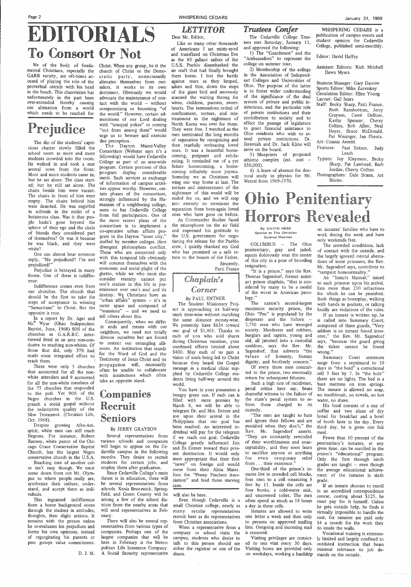We of the body of fundamental Christians, especially the GARB variety, are oft-times accused of playing the role of the proverbial ostrich with his head in the beach. This chauvinism has unfortunately in the past been over-extended thereby causing our alienation from a world which needs to be reached for

## Prejudice

One can almost hear someone reply, "Me prejudiced? I'm not prejudiced!"

In a report by Dr. Ager and Mr. Wyse (Ohio Independent Baptist, June, 1968) 80% of the churches in G.A.R.B.C. interviewed lived in an area non-condusive to reaching non-whites. Of those that did, only 37% had made some integrated effort to' reach them.

The din of the students' capricious chatter slowly filled the school room as more and more students crowded into the room. He walked in and took a seat several rows from the front. More and more students came in, but he sat alone. The class started; but he still sat alone. The chairs beside him were vacant. The chairs in front of him were empty. The chairs behind him were deserted. He was engulfed in solitude in the midst of a boisterous class. Was it that people hadn't gone beyond the sphere of their ego and the circle of friends they considered part of themselves? Or was it because he was black, and they were white?

Prejudice is betrayed in many forms. One of these is indifference.

Indifference comes even from our churches. The church that should be the first to take the steps of acceptance in winning "Samaritans" to Christ. But the opposite is true.

## **EDITORIALS** To Consort Not

There were only 5 churches that accounted for all the nonwhite attenders and 9 accounted for all· the non-white members of the 75 churches that responded to the poll. Yet 90% of the Negro churches in the U.S. preach a social gospel without the redemptive quality of the New Testament. (Christian Life, Oct. 1968).

Despite growing Afro-Am. spirit, white men can still reach Negroes. For instance, Robert Ranney, white pastor of the Chiago Grace Conservative Baptist Church, has the largest Negro conservative church in the U.S.A. Reaching men of another color isn't easy though. We must come down from out Mt. Olympus to where people really are, synthesize their culture, understand, and accept them as individuals. This ingrained · indifference from a home background oozes through the student in attitudes, thoughts, then slight actions. It remains with the person unless he re-evaluates his prejudices and forms his own opinions, instead of regurgitating his parents or peer groups value commitment.

D.J.M.

Christ. When any group, be it the church of Christ or the Democratic party, unnecessarily alienates themselves from outsiders, it works to its own detriment. Obviously we would advocate the maintenance of contact with the world  $-$  without compromising or becoming "of the world." However, certain admonitions of our Lord dealing with "unequal yokes" or coming "out from among them" would urge us to beware and exercise due perception.

The Dayton Miami-Valley Consortium (Webster says it's a fellowship) would have Cedarville College as part of an area-wide program. Certain portions of this program display considerable merit. Such services as exchange of information of campus activities appear worthy. However, certain phases of the consortium, strongly influenced by the Humanism of a neighboring college, seem to bar Cedarville College from full participation. One of the more recent plans of the consortium is to implement a co-operative urban affairs program in the Dayton "inner city," staffed by member colleges. Here divergent philosophies conflict. Those who are concerned only with this temporal life obviously will concern themselves with the economic and social plight of the ghetto, while we who must also consider eternity cannot put one's station in this life in preeminence over one's soul and its destiny. We Christians have an 'urban affairs" system - it's in outer space and composed of "mansions" - and we need to tell others about this.

Several representatives from if we reach our goal. Cedarville various schools and companies College greatly influenced Jim You have in your possession a hungry green can. If each can is filled with mere pennies by March 8, we will be able to telegram Dr. and Mrs. Entner and son upon their arrival in the Philippines that our goal has been reached. An interested individual will pay for the telegram and Es Entner toward their present destination. It would only seem appropriate that their first "news" on foreign soil would come from their Alma Mater. Join the "Penny Pinchers Association" and feed those starving cans.

Consequently, when we differ in ends and means with our neighbors, we need not totally divorce ourselves but are forced restrict our entangling alliances. An institution that stands for the Word of God and the Testimony of Jesus Christ and its propagation will, necessarily often be unable to collaborate with institutions which often take an opposite stand.

### Companies Recruit Seniors

#### By JERRY GRAYSON

COLUMBUS - The Ohio penitentiary, gray and jaded, squats dolorously near the center of this city in a pose of brooding resignation.

"It is a prison," says the Rev. Thomas Sagendorf, former assistant prison chaplain, "that is considered by many to be a model of the worst in American penology."

will begin to appear on the Ce-

darville campus in the following months. They desire to recruit students for certain jobs, and employ them after graduation.

Since Cedarville College's main thrust is in education, there will be several representatives from schools. Xenia Brunswick, Springfield, and Green County will be among a few of the school districts from the nearby areas that will send representatives in February.

There will also be several representatives from various types of companies. Perhaps one of the largest companies that will be here in February is the Metropolitan Life Insurance Company. A Social Security representative

#### *LETTITOR*  Dear Mr. Editor,

Staff: Becky Sharp, Patti France, Ruth Ransbottom, Jerry Grayson, Carol DeBoer, Ka thy Spencer, Cherry Collins, Bob Allen, Neal Heyer, Bruce McDonald, Pat Wissinger, Jan Phenix. Art: Connie Averitt

Like so many other thousands of Americans I sat misty-eyed and transfixed on Christmas Eve as the 83 gallant sailors of the U.S.S. Pueblo disembarked the air craft that had finally brought them home. I lost the battle against tears as they limped, ashen and thin, down the steps of the giant bird and nervously scanned the waiting throng for wives, children, parents, sweethearts. The tremendous ordeal of confinement, torture, and mistreatment in the nightmare of North Korea was over for them. They were free. I watched as the men terminated the long months of separation by recognizing and then tearfully embracing loved ones. It was a beautiful homecoming, poignant and exhilarating. It reminded me of a yet future homecoming, a homecoming infinitely more joyous. Someday we as Christians will wing our way home at last. The torture and mistreatment of the nightmare of this world will be ended for us, and we will step into eternity to terminate the separation from born-again loved ones who have gone on before.

> An "Inmate Manual," issued to each prisoner upon his arrival, lists more than 250 infractions for which he can be punished. Such things as horseplay, walking with hands in pockets, or talking loudly are violations of the rules.

As Commander Bucher faced the microphone on the air field and expressed his gratitude to the U.S. government for negotiating the release for the Pueblo crew, I quietly thanked my God who has promised us a safe return to the bosom of the Father.

> Sincerely, Patti France

#### Chaplain's Corner

#### By PAUL ENTNER

The Student Missionary Project is approaching its half-way mark time-wise without matching the same distance money-wise. We presently have \$624 toward our goal of \$1,461. Thanks to each of you who sold shares during Christmas vacation, your combined efforts totaled about \$400. May each of us gain a vision of souls being led to Christ because they heard the Gospel message in a medical clinic supplied by Cedarville College students living half-way around the world.

will also be here.

Even though Cedarville is a small Christian college, nearly as many secular representatives recruit here as do representatives from Christian associations. When a representative from a

company or school visits the campus, students who desire to talk to this person should see either the registrar or one of the deans.

#### *Trustees Confer*

The Cedarville College Trus- \_tees met Saturday, January 11, and approved the following:

1) The "Guardsmen" and the "Ambassadors" to represent the college on summer tour.

2) Membership of the eollege in the Association of Independent Colleges and Universities of Ohio. The purpose of the latter is to foster wider understanding of the significance of the dual system of private and public institutions, and the particular role of private institutions and their contribution to society and to effect the passage of legislature to grant financial assistance to Ohio residents who wish to attend private institutions. Dr. Jeremiah and Dr. Jack Kline will serve on the board.

3) Blueprints of proposed athletic complex (est.  $cost -$ \$50,000).

4) A leave of absence for doctoral study in physics for Mr. Wetzel from 1969-1970.

## Ohio Penitentiary Horrors Revealed

#### By DAVID HESS Special to The Christian **Science Monitor**

The nation's second-largest maximum security prison, the Ohio "Pen" is populated by the desperate and the forlorn  $-$ 2,750 men who have wronged society. Murderers and robbers, burglars and rapists, young and old, all jammed into a custodial cauldron, says the Rev. Mr. Sagendorf, that subverts "the values of honesty, human dignity, and brotherly concern."

Of every three men committed to the prison, two eventually return for subsequent felonies.

Such a high rate of recidivism, penal critics here say, bears shameful witness to the failure of the state's penal system to reform those charged to its custody.

"The men are taught to hate and ignore their fellows and are punished when they don't," the Rev. Mr. Sagendorf asserts. "They are constantly reminded of their worthlessness and unacceptability, and they soon learn to sacrifice anyone or anything for even temporary relief from ... their existence." One-third of the prison's inmates live in crowded cell blocks, four men to a cell measuring 8 feet by 11. Inside the cells are four bunks, a cold-water sink, and uncovered toilet. The men often spend as much as 18 hours a day in these cells.

Inmates are allowed to write one letter a week and then only to persons on approved mailing lists. Outgoing and incoming mail is censored.

WHISPERING CEDARS is a publication of campus events and student opinion for Cedarville College, published semi-monthly.

Editor: David Haffey

Assistant Editors: Rich Mitchell Dawn Myers

Business Manager: Gary Darrow Sports Editor: Mike Zazvrskey Circulation Editor: Ellen Young Layout: Gail Sears

Features: Paul Entner, Judy Leach

Typists: Joy Kleymeer, Becky Sharp, Pat Lawhead, Barb Jordan, Cherry Collins.

Photographers: Dale Braun, Art Shuter.

on inmates' families who have to work during the week and have only weekends free. The crowded conditions, lack

of contact with the outside, and the largely ignored mental aberrations of some prisoners, the Rev. Mr. Sagendorf says, contribute to "rampant homosexuality."

Visiting privileges are restrict-ly limited and largely confined to ed to one visit every 30 days. outdated instruction that bears Visiting hours are provided only minimal relevance to job de-Fewer than 10 percent of the penitentiary's inmates, at any given time, can be enrolled in the prison's "educational" program. Only the first through ninth grades are taught  $-$  even though the average educational achievement of the inmates is sixth grade. If an inmate chooses to enroll in an accredited correspondence course, costing about \$125, he must pay for it himself. Unless he gets outside help, he finds it virtually impossible to handle the cost, for inmates are paid only \$4 a month for the work they do inside the walls. Vocational training is extreme-

on weekdays, working a hardship mands on the outside.

If an inmate is written up, he is called into Summary Court, composed of three guards, "Very seldom is an inmate found innocent," the Rev. Mr. Sagendorf says, "because the guard giving the ticket cannot be found **wrong."** 

Summary Court sentences range from a reprimand to 10 days in "the hold" a correctional cell 5 feet by 7. In "the hole" there are no lights. The bed is a bare mattress on iron springs. The inmate is allowed no soap, no toothbrush, no towels, no hot water, no shave.

His food consists of a cup of coffee and two slices of dry bread for breakfast and a bowl of broth later in the day. Every third day, he is given one full meal.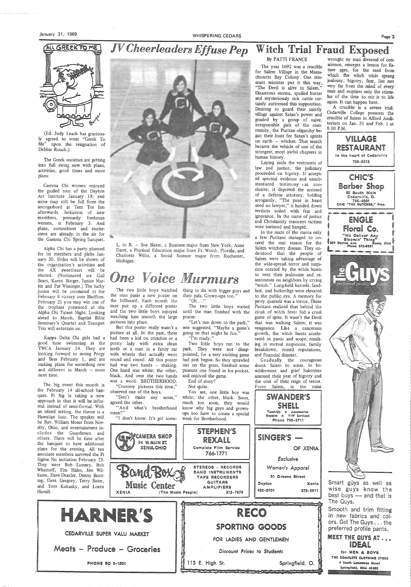#### GREEKTOME **CALL**

## *JV Che,erleaders Effuse Pep* Witch Trial Fraud Exposed



(Ed. Judy Leach has graciously agreed to write "Greek To Me" upon the resignation of Debbie Rouch.)

The Greek societies are getting into full swing now with plans, activities, good times and more plans:

Gamma Chi women enjoyed the guided tour of the Dayton Art Institute January 18; and some may still be full from the smorgasbord at Tem Tee Inn afterwards. Initiation of new members, primarily freshman women, is February 3. And plans, committees and excitement are already in the air for the Gamma Chi Spring banquet.

Alpha Chi has a party planned for its members and plebs January 30. Slides will be shown of the organization's activities and the AX sweetheart will be elected. (Nominated are Gail Sears, Karen Borger, Janice Martin and Pat Wissinger.) The lucky junior will be coronated at the February 8 victory over Bluffton. February 21 you may win one of the trophies presented at the Alpha Chi Talent Night. Looking ahead to March, Baptist Bible Seminary's Quartet and Trumpet Trio will entertain us.

The two little boys watched thing to do with bigger guys and their pals. Grown-ups too."  $"Oh \dots"$ 

Kappa Delta Chi girls had a good time swinuning at the YWCA January 24. They are looking forward to seeing Porgy and Bess February 1, and are making plans for something new and different in March — more next time.

> mean?" "I don't know. It's got some-

The big event this month is the February 14 all-school banquet. Pi Sig is taking a new approach in that it will be informal instead of semi-formal. With an island setting, the theme is <sup>a</sup> Hawaiian luau. The speaker will be Rev. William Moser from Novelty, Ohio, and entertainment includes the Guardsmen and others. There will be time after the banquet to have additional



You see, one little boy was white; the other, black. Soon, much too soon, they would know why big guys and grownups too have to create a special week for Brotherhood.

> **STEPHEN'S** REXALL

L. to R. - Sue Slater, a Business major from New York; Anne Darst, a Physical Education major from Ft. Worth, Florida; and Charlotte Willis, a Social Science major from Rochester, Michigan.

## One Voice Murmurs

the man paste a new poster on the billboard. Each month the man put up a different poster and the two little boys enjoyed watching him smooth the large pictures into place.

But this poster really wasn't a picture at all. In the past, there had been a kid on crutches or a pretty lady with extra clean teeth or a man in a fancy car with wheels that actually went round and round. All this poster had was two hands - shaking. One hand was white; the other, black. And over the two hands was a word: BROTHERHOOD.

Gradually the courageous shook Salem to sense. In bewilderment and grief Salemites assessed their year of bigotry and the cost of their reign of terror. From Salem, in the ruins

"Crummy pictures this time," observed one of the boys.

"Don't make any sense," agreed the other. "And what's brotherhood

CAMERA SHOP

34 W. MAIN ST.

The two little boys waited until the man finished with the poster.

"Let's run down to the park," one suggested. "Maybe a game's going on that might be fun." "I'm ready."

Two little boys ran to the park. They were not disappointed, for a very exciting game had just begun. So they sprawled out on the grass, finished some peanuts one found in his pocket, and enjoyed the game.

End of story?

Not quite.

#### By PATTI FRANCE

The year 1692 was a crucible for Salem Village in the Massachusetts Bay Colony. One itinerant minister put it this way, "The Devil is alive in Salem." Disastrous storms, spoiled butter and mysteriously sick cattle certainly auttressed this supposition. Desiring to guard their saintly village against Satan's power and goaded by a group of naive, irresponsible girls of the community, the Puritan oligarchy began their hunt for Satan's agents on earth - witches. That search became the vehicle of one of the strangest, most awful chapters in human history.



Laying aside the vestments of law and justice, the judiciary proceeded on bigotry. It accepted spectral evidence and unsubstantiated testimony . as conclusive; it deprived the accused of a defense attorney, holding arrogantly, "The pure in heart need no lawyer;" it handed down verdicts soiled with fear and ignorance. In the name of justice and Christianity innocent victims were tortured and hanged.

In the maze of the mania only a few Puritans managed to unravel the real reason for the Salem witchery disease. They understood that the people of Salem were taking advantage of the wide-spread terror and suspicion created by the witch hunts to vent their jealousies and resentments on neighbors by crying "witch." Long-held hatreds, landlust, and bickerihgs were elevated to the public eye. A memory for petty quarrels was a virtue. These Puritans realized that behind the cloak of witch fever hid a cruel game of spite. It wasn't the Devil that was walking Salem; it was vengeance. Like a cancerous growth, the witch hunts accelerated in panic and scope, resulting in mutual suspicions, family breakdown, ruined reputations, and financial disaster.

> SH Ell Tune-Up @ Accessories Repairs @ V-W Serviced Phone 766-3711

SWANDER'S

SINGER'S -

wrought oy man divested of conscience, emerges a lesson for future ages, for the seed from which the witch trials sprang jealousy, bigotry, fear, lies not very far from the mind of every man and requires only the stimulus of the time to stir it to life again. It can happen here.

A crucible is a severe trial. Cedarville College presents the crucible of Salem in Alford Auditorium on Jan. 31 and Feb. l at 8:00 P.M.